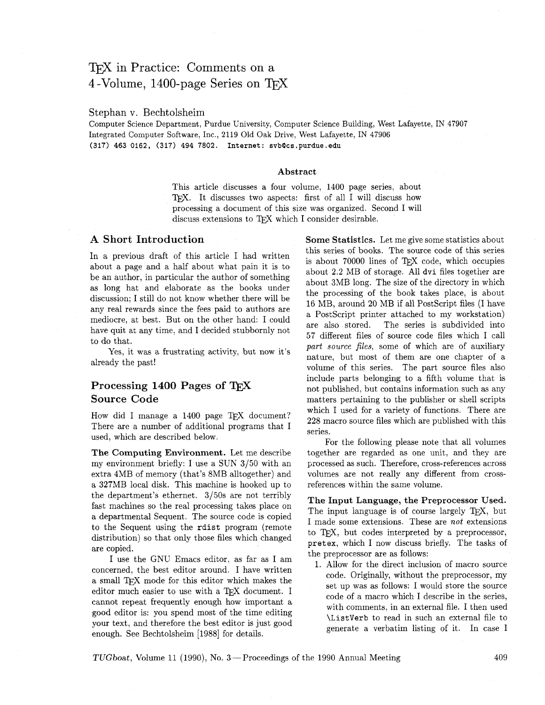# T<sub>F</sub>X in Practice: Comments on a 4-Volume, 1400-page Series on  $T_FX$

#### Stephan v. Bechtolsheim

Computer Science Department, Purdue University, Computer Science Building, West Lafayette, IN 47907 Integrated Computer Software, Inc., 2119 Old Oak Drive, West Lafayette, IN 47906 **(317) 463 0162, (317) 494 7802. Internet: svbQcs.purdue.edu** 

#### Abstract

This article discusses a four volume, 1400 page series, about TFX. It discusses two aspects: first of all I will discuss how processing a document of this size was organized. Second I will discuss extensions to TFX which I consider desirable.

### A Short Introduction

In a previous draft of this article I had written about a page and a half about what pain it is to be an author, in particular the author of something as long hat and elaborate as the books under discussion; I still do not know whether there will be any real rewards since the fees paid to authors are mediocre, at best. But on the other hand: I could have quit at any time, and I decided stubbornly not to do that.

Yes, it was a frustrating activity, but now it's already the past!

# Processing 1400 Pages of T<sub>E</sub>X Source Code

How did I manage a  $1400$  page TFX document? There are a number of additional programs that I used, which are described below.

The Computing Environment. Let me describe my environment briefly: I use a SUN 3/50 with an extra 4MB of memory (that's 8MB alltogether) and a 327MB local disk. This machine is hooked up to the department's ethernet.  $3/50s$  are not terribly fast machines so the real processing takes place on a departmental Sequent. The source code is copied to the Sequent using the rdist program (remote distribution) so that only those files which changed are copied.

I use the GNU Emacs editor, as far as I am concerned, the best editor around. I have written a small TFX mode for this editor which makes the editor much easier to use with a TFX document. I cannot repeat frequently enough how important a good editor is: you spend most of the time editing your text, and therefore the best editor is just good enough. See Bechtolsheim [1988] for details.

Some Statistics. Let me give some statistics about this series of books. The source code of this series is about 70000 lines of TFX code, which occupies about 2.2 MB of storage. All dvi files together are about 3MB long. The size of the directory in which the processing of the book takes place, is about 16 NIB, around 20 MB if all Postscript files (I have a PostScript printer attached to my workstation) are also stored. The series is subdivided into 57 different files of source code files which I call part source files, some of which are of auxiliary nature, but most of them are one chapter of a volume of this series. The part source files also include parts belonging to a fifth volume that is not published, but contains information such as any matters pertaining to the publisher or shell scripts which I used for a variety of functions. There are 228 macro source files which are published with this series.

For the following please note that all volumes together are regarded as one unit. and they are processed as such. Therefore, cross-references across volumes are not really any different from crossreferences within the same volume.

The Input Language, the Preprocessor Used. The input language is of course largely T<sub>F</sub>X, but I made some extensions. These are not extensions to TFX, but codes interpreted by a preprocessor, pretex, which I now discuss briefly. The tasks of the preprocessor are as follows:

1. Allow for the direct inclusion of macro source code. Originally, without the preprocessor, my set up was as follows: I would store the source code of a macro which I describe in the series, with comments, in an external file. I then used \Listverb to read in such an external file to generate a verbatim listing of it. In case I

 $TUGboat$ , Volume 11 (1990), No. 3 – Proceedings of the 1990 Annual Meeting  $409$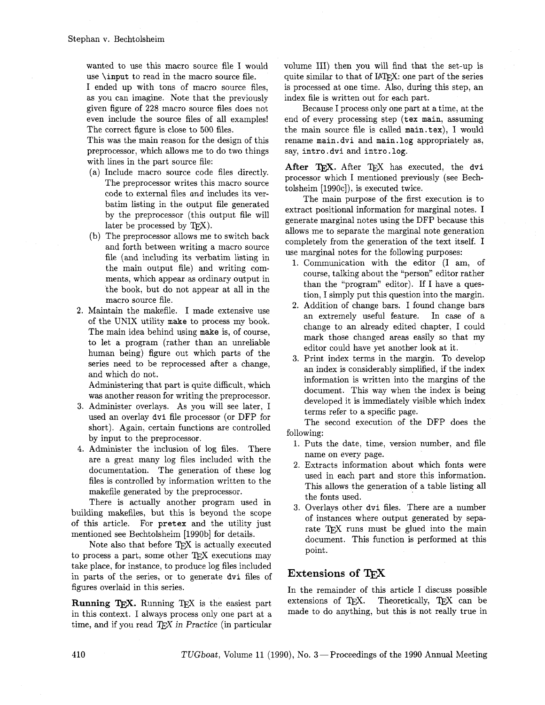wanted to use this macro source file I would use \input to read in the macro source file.

I ended up with tons of macro source files, as you can imagine. Note that the previously given figure of 228 macro source files does not even include the source files of all examples! The correct figure is close to 500 files.

This was the main reason for the design of this preprocessor, which allows me to do two things with lines in the part source file:

- (a) Include macro source code files directly. The preprocessor writes this macro source code to external files and includes its verbatim listing in the output file generated by the preprocessor (this output file will later be processed by  $T\not\vdash X$ ).
- (b) The preprocessor allows me to switch back and forth between writing a macro source file (and including its verbatim listing in the main output file) and writing comments, which appear as ordinary output in the book, but do not appear at all in the macro source file.
- **2.** Maintain the makefile. I made extensive use of the UNIX utility make to process my book. The main idea behind using make is, of course, to let a program (rather than an unreliable human being) figure out which parts of the series need to be reprocessed after a change, and which do not.

Administering that part is quite difficult, which was another reason for writing the preprocessor.

- **3.** Administer overlays. As you will see later, I used an overlay dvi file processor (or DFP for short). Again, certain functions are controlled by input to the preprocessor.
- 4. Administer the inclusion of log files. There are a great many log files included with the documentation. The generation of these log files is controlled by information written to the makefile generated by the preprocessor.

There is actually another program used in building makefiles, but this is beyond the scope of this article. For pretex and the utility just mentioned see Bechtolsheim [1990b] for details.

Note also that before TFX is actually executed to process a part, some other  $T_F X$  executions may take place, for instance, to produce log files included in parts of the series, or to generate dvi files of figures overlaid in this series.

**Running TFX.** Running TFX is the easiest part in this context. I always process only one part at a time, and if you read  $T_F X$  in Practice (in particular volume 111) then you will find that the set-up is quite similar to that of IATFX: one part of the series is processed at one time. Also, during this step, an index file is written out for each part.

Because I process only one part at a time, at the end of every processing step (tex main, assuming the main source file is called main.tex), I would rename main. dvi and main. log appropriately as, say, intro . dvi and intro . log.

After TFX. After TFX has executed, the dvi processor which I mentioned previously (see Bechtolsheim [1990c]), is executed twice.

The main purpose of the first execution is to extract positional information for marginal notes. I generate marginal notes using the DFP because this allows me to separate the marginal note generation completely from the generation of the text itself. I use marginal notes for the following purposes:

- 1. Communication with the editor (I am, of course, talking about the "person" editor rather than the "program" editor). If I have a question, I simply put this question into the margin.
- **2.** Addition of change bars. I found change bars an extremely useful feature. In case of a change to an already edited chapter, I could mark those changed areas easily so that my editor could have yet another look at it.
- **3.** Print index terms in the margin. To develop an index is considerably simplified, if the index information is written into the margins of the document. This way when the index is being developed it is immediately visible which index terms refer to a specific page.

The second execution of the DFP does the following:

- 1. Puts the date, time, version number, and file name on every page.
- **2.** Extracts information about which fonts were used in each part and store this information. This allows the generation of a table listing all the fonts used.
- **3.** Overlays other dvi files. There are a number of instances where output generated by separate TFX runs must be glued into the main document. This function is performed at this point.

# **Extensions of**

In the remainder of this article I discuss possible<br>extensions of T<sub>E</sub>X. Theoretically, T<sub>E</sub>X can be made to do anything, but this is not really true in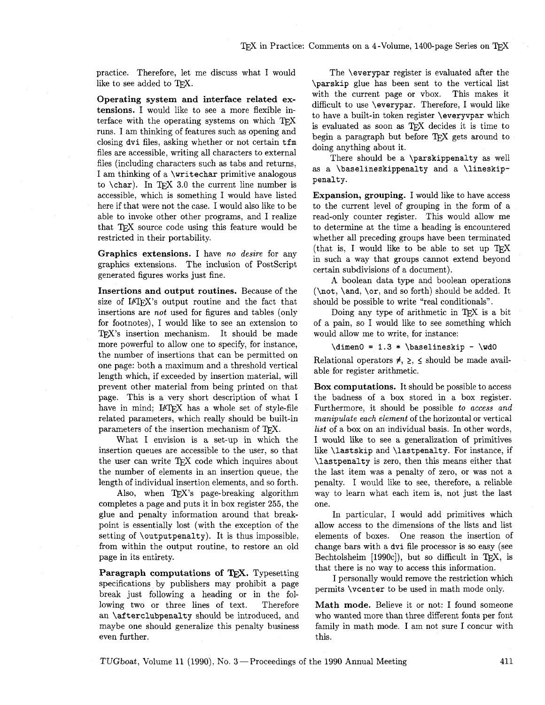practice. Therefore, let me discuss what I would like to see added to  $T_FX$ .

**Operating system and interface related extensions. I** would like to see a more flexible interface with the operating systems on which TFX runs. I am thinking of features such as opening and closing dvi files, asking whether or not certain tfm files are accessible, writing all characters to external files (including characters such as tabs and returns, I am thinking of a \writechar primitive analogous to  $\char'$  \char). In TEX 3.0 the current line number is accessible, which is something I would have listed here if that were not the case. I would also like to be able to invoke other other programs, and I realize that TFX source code using this feature would be restricted in their portability.

**Graphics extensions. I** have *no desire* for any graphics extensions. The inclusion of PostScript generated figures works just fine.

**Insertions and output routines.** Because of the size of IAT<sub>F</sub>X's output routine and the fact that insertions are *not* used for figures and tables (only for footnotes), I would like to see an extension to TFX's insertion mechanism. It should be made more powerful to allow one to specify, for instance, the number of insertions that can be permitted on one page: both a maximum and a threshold vertical length which, if exceeded by insertion material, will prevent other material from being printed on that page. This is a very short description of what I have in mind; IATFX has a whole set of style-file related parameters, which really should be built-in parameters of the insertion mechanism of  $T_F X$ .

What I envision is a set-up in which the insertion queues are accessible to the user, so that the user can write TFX code which inquires about the number of elements in an insertion queue, the length of individual insertion elements, and so forth.

Also, when  $TFX$ 's page-breaking algorithm completes a page and puts it in box register **255,** the glue and penalty information around that breakpoint is essentially lost (with the exception of the setting of \outputpenalty). It is thus impossible, from within the output routine, to restore an old page in its entirety.

Paragraph computations of TEX. Typesetting specifications by publishers may prohibit a page break just following a heading or in the following two or three lines of text. Therefore an \afterclubpenalty should be introduced, and maybe one should generalize this penalty business even further.

The \everypar register is evaluated after the \parskip glue has been sent to the vertical list with the current page or vbox. This makes it difficult to use \everypar. Therefore, I would like to have a built-in token register \everyvpar which is evaluated as soon as TFX decides it is time to begin a paragraph but before  $T_F X$  gets around to doing anything about it.

There should be a \parskippenalty as well as a \baselineskippenalty and a \lineskippenalty.

**Expansion, grouping.** I would like to have access to the current level of grouping in the form of a read-only counter register. This would allow me to determine at the time a heading is encountered whether all preceding groups have been terminated (that is, I would like to be able to set up  $T_F X$ in such a way that groups cannot extend beyond certain subdivisions of a document).

A boolean data type and boolean operations (\not, \and, \or, and so forth) should be added. It should be possible to write "real conditionals".

Doing any type of arithmetic in TFX is a bit of a pain, so I would like to see something which would allow me to write, for instance:

 $\dimen0 = 1.3 * \baselineskip - \wd0$ 

Relational operators  $\neq$ ,  $\geq$ ,  $\leq$  should be made available for register arithmetic.

**Box computations.** It should be possible to access the badness of a box stored in a box register. Furthermore, it should be possible *to access and manipulate each element* of the horizontal or vertical *list* of a box on an individual basis. In other words, I would like to see a generalization of primitives like \lastskip and \lastpenalty. For instance, if \lastpenalty is zero, then this means either that the last item was a penalty of zero, or was not a penalty. I would like to see, therefore, a reliable way to learn what each item is, not just the last one.

In particular, I would add primitives which allow access to the dimensions of the lists and list elements of boxes. One reason the insertion of change bars with a dvi file processor is so easy (see Bechtolsheim  $[1990c]$ , but so difficult in TFX, is that there is no way to access this information.

I personally would remove the restriction which permits \vcenter to be used in math mode only.

**Math mode.** Believe it or not: I found someone who wanted more than three different fonts per font family in math mode. I am not sure I concur with this.